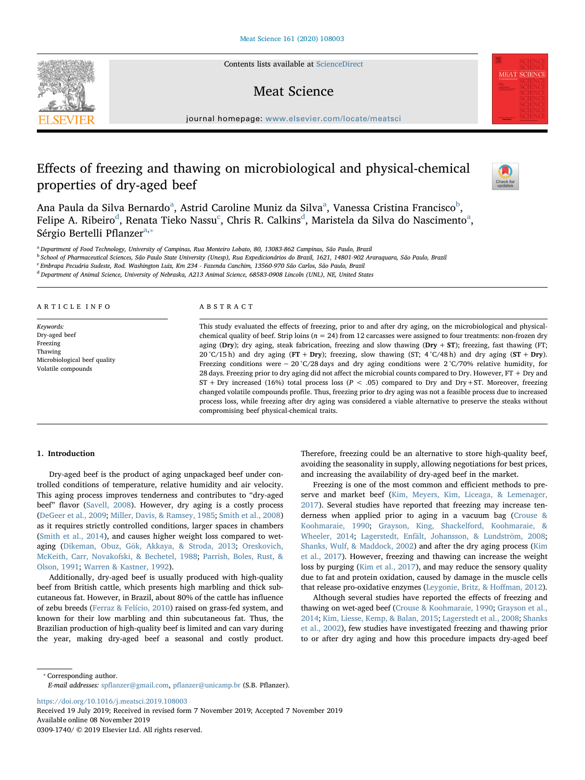Contents lists available at [ScienceDirect](http://www.sciencedirect.com/science/journal/03091740)

## Meat Science

journal homepage: [www.elsevier.com/locate/meatsci](https://www.elsevier.com/locate/meatsci)

# Effects of freezing and thawing on microbiological and physical-chemical properties of dry-aged beef



**MEAT SCIENCE** 

An[a](#page-0-0) Paula da Silva Bernardo<sup>a</sup>, Astrid Caroline Muniz da Silva<sup>a</sup>, Vanessa Cristina Francisco<sup>[b](#page-0-1)</sup>, Felipe A. Ribeiro $^{\text{d}}$  $^{\text{d}}$  $^{\text{d}}$ , Ren[a](#page-0-0)ta Tieko Nassu $^{\text{c}}$  $^{\text{c}}$  $^{\text{c}}$ , Chris R. Calkins $^{\text{d}}$ , Maristela da Silva do Nascimento $^{\text{a}}$ , Sérgio Bertelli Pflanzer<sup>a,</sup>\*

<span id="page-0-0"></span><sup>a</sup> Department of Food Technology, University of Campinas, Rua Monteiro Lobato, 80, 13083-862 Campinas, São Paulo, Brazil

<span id="page-0-1"></span><sup>b</sup> School of Pharmaceutical Sciences, São Paulo State University (Unesp), Rua Expedicionários do Brazil, 1621, 14801-902 Araraquara, São Paulo, Brazil

<span id="page-0-3"></span><sup>c</sup> Embrapa Pecuária Sudeste, Rod. Washington Luiz, Km 234 - Fazenda Canchim, 13560-970 São Carlos, São Paulo, Brazil

<span id="page-0-2"></span><sup>d</sup> Department of Animal Science, University of Nebraska, A213 Animal Science, 68583-0908 Lincoln (UNL), NE, United States

#### ARTICLE INFO

Keywords: Dry-aged beef Freezing Thawing Microbiological beef quality Volatile compounds

## ABSTRACT

This study evaluated the effects of freezing, prior to and after dry aging, on the microbiological and physicalchemical quality of beef. Strip loins ( $n = 24$ ) from 12 carcasses were assigned to four treatments: non-frozen dry aging (Dry); dry aging, steak fabrication, freezing and slow thawing (Dry + ST); freezing, fast thawing (FT; 20 °C/15 h) and dry aging (FT + Dry); freezing, slow thawing (ST;  $4$  °C/48 h) and dry aging (ST + Dry). Freezing conditions were − 20 °C/28 days and dry aging conditions were 2 °C/70% relative humidity, for 28 days. Freezing prior to dry aging did not affect the microbial counts compared to Dry. However, FT + Dry and  $ST$  + Dry increased (16%) total process loss ( $P < .05$ ) compared to Dry and Dry+ST. Moreover, freezing changed volatile compounds profile. Thus, freezing prior to dry aging was not a feasible process due to increased process loss, while freezing after dry aging was considered a viable alternative to preserve the steaks without compromising beef physical-chemical traits.

### 1. Introduction

Dry-aged beef is the product of aging unpackaged beef under controlled conditions of temperature, relative humidity and air velocity. This aging process improves tenderness and contributes to "dry-aged beef" flavor [\(Savell, 2008](#page-8-0)). However, dry aging is a costly process ([DeGeer et al., 2009](#page-7-0); [Miller, Davis, & Ramsey, 1985](#page-8-1); [Smith et al., 2008\)](#page-8-2) as it requires strictly controlled conditions, larger spaces in chambers ([Smith et al., 2014\)](#page-8-3), and causes higher weight loss compared to wetaging ([Dikeman, Obuz, Gök, Akkaya, & Stroda, 2013](#page-7-1); [Oreskovich,](#page-8-4) [McKeith, Carr, Novakofski, & Bechetel, 1988](#page-8-4); [Parrish, Boles, Rust, &](#page-8-5) [Olson, 1991;](#page-8-5) [Warren & Kastner, 1992\)](#page-8-6).

Additionally, dry-aged beef is usually produced with high-quality beef from British cattle, which presents high marbling and thick subcutaneous fat. However, in Brazil, about 80% of the cattle has influence of zebu breeds [\(Ferraz & Felício, 2010](#page-7-2)) raised on grass-fed system, and known for their low marbling and thin subcutaneous fat. Thus, the Brazilian production of high-quality beef is limited and can vary during the year, making dry-aged beef a seasonal and costly product.

Therefore, freezing could be an alternative to store high-quality beef, avoiding the seasonality in supply, allowing negotiations for best prices, and increasing the availability of dry-aged beef in the market.

Freezing is one of the most common and efficient methods to preserve and market beef ([Kim, Meyers, Kim, Liceaga, & Lemenager,](#page-8-7) [2017\)](#page-8-7). Several studies have reported that freezing may increase tenderness when applied prior to aging in a vacuum bag [\(Crouse &](#page-7-3) [Koohmaraie, 1990](#page-7-3); [Grayson, King, Shackelford, Koohmaraie, &](#page-7-4) [Wheeler, 2014;](#page-7-4) [Lagerstedt, Enfält, Johansson, & Lundström, 2008](#page-8-8); [Shanks, Wulf, & Maddock, 2002](#page-8-9)) and after the dry aging process [\(Kim](#page-8-7) [et al., 2017](#page-8-7)). However, freezing and thawing can increase the weight loss by purging [\(Kim et al., 2017](#page-8-7)), and may reduce the sensory quality due to fat and protein oxidation, caused by damage in the muscle cells that release pro-oxidative enzymes [\(Leygonie, Britz, & Ho](#page-8-10)ffman, 2012).

Although several studies have reported the effects of freezing and thawing on wet-aged beef [\(Crouse & Koohmaraie, 1990](#page-7-3); [Grayson et al.,](#page-7-4) [2014;](#page-7-4) [Kim, Liesse, Kemp, & Balan, 2015](#page-8-11); [Lagerstedt et al., 2008;](#page-8-8) [Shanks](#page-8-9) [et al., 2002](#page-8-9)), few studies have investigated freezing and thawing prior to or after dry aging and how this procedure impacts dry-aged beef

<span id="page-0-4"></span>⁎ Corresponding author.

E-mail addresses: spfl[anzer@gmail.com,](mailto:spflanzer@gmail.com) pfl[anzer@unicamp.br](mailto:pflanzer@unicamp.br) (S.B. Pflanzer).

<https://doi.org/10.1016/j.meatsci.2019.108003>

Received 19 July 2019; Received in revised form 7 November 2019; Accepted 7 November 2019 Available online 08 November 2019

0309-1740/ © 2019 Elsevier Ltd. All rights reserved.

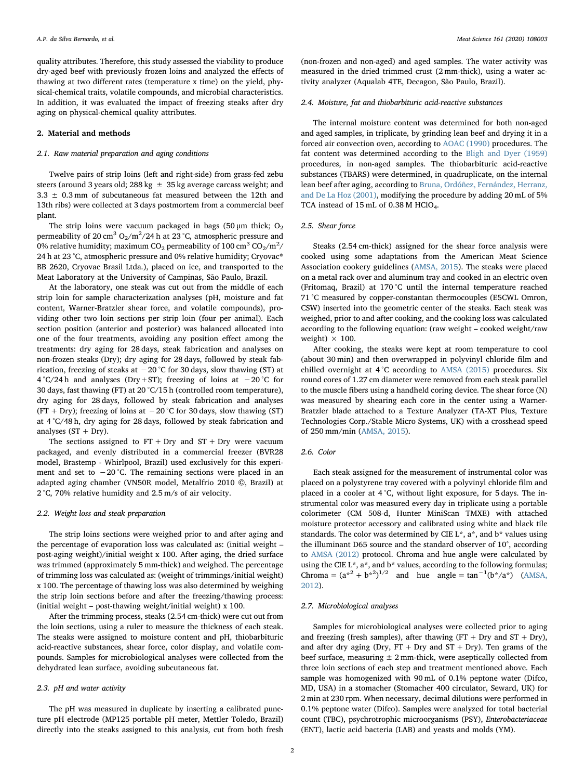quality attributes. Therefore, this study assessed the viability to produce dry-aged beef with previously frozen loins and analyzed the effects of thawing at two different rates (temperature x time) on the yield, physical-chemical traits, volatile compounds, and microbial characteristics. In addition, it was evaluated the impact of freezing steaks after dry aging on physical-chemical quality attributes.

## 2. Material and methods

## 2.1. Raw material preparation and aging conditions

Twelve pairs of strip loins (left and right-side) from grass-fed zebu steers (around 3 years old: 288 kg  $\pm$  35 kg average carcass weight; and  $3.3 \pm 0.3$  mm of subcutaneous fat measured between the 12th and 13th ribs) were collected at 3 days postmortem from a commercial beef plant.

The strip loins were vacuum packaged in bags (50  $\mu$ m thick; O<sub>2</sub> permeability of  $20 \text{ cm}^3 \text{ O}_2/\text{m}^2/24$  h at  $23 \text{ }^\circ \text{C}$ , atmospheric pressure and 0% relative humidity; maximum CO $_2$  permeability of 100 cm $\rm{^{3}$  CO $_2/\rm{m^2/\,}}$ 24 h at 23 °C, atmospheric pressure and 0% relative humidity; Cryovac® BB 2620, Cryovac Brasil Ltda.), placed on ice, and transported to the Meat Laboratory at the University of Campinas, São Paulo, Brazil.

At the laboratory, one steak was cut out from the middle of each strip loin for sample characterization analyses (pH, moisture and fat content, Warner-Bratzler shear force, and volatile compounds), providing other two loin sections per strip loin (four per animal). Each section position (anterior and posterior) was balanced allocated into one of the four treatments, avoiding any position effect among the treatments: dry aging for 28 days, steak fabrication and analyses on non-frozen steaks (Dry); dry aging for 28 days, followed by steak fabrication, freezing of steaks at −20 °C for 30 days, slow thawing (ST) at 4 °C/24 h and analyses (Dry+ST); freezing of loins at −20 °C for 30 days, fast thawing (FT) at 20 °C/15 h (controlled room temperature), dry aging for 28 days, followed by steak fabrication and analyses (FT + Dry); freezing of loins at  $-20$  °C for 30 days, slow thawing (ST) at 4 °C/48 h, dry aging for 28 days, followed by steak fabrication and analyses  $(ST + Dry)$ .

The sections assigned to  $FT + Dry$  and  $ST + Dry$  were vacuum packaged, and evenly distributed in a commercial freezer (BVR28 model, Brastemp - Whirlpool, Brazil) used exclusively for this experiment and set to  $-20$  °C. The remaining sections were placed in an adapted aging chamber (VN50R model, Metalfrio 2010 ©, Brazil) at 2 °C, 70% relative humidity and 2.5 m/s of air velocity.

#### 2.2. Weight loss and steak preparation

The strip loins sections were weighed prior to and after aging and the percentage of evaporation loss was calculated as: (initial weight – post-aging weight)/initial weight x 100. After aging, the dried surface was trimmed (approximately 5 mm-thick) and weighed. The percentage of trimming loss was calculated as: (weight of trimmings/initial weight) x 100. The percentage of thawing loss was also determined by weighing the strip loin sections before and after the freezing/thawing process: (initial weight – post-thawing weight/initial weight) x 100.

After the trimming process, steaks (2.54 cm-thick) were cut out from the loin sections, using a ruler to measure the thickness of each steak. The steaks were assigned to moisture content and pH, thiobarbituric acid-reactive substances, shear force, color display, and volatile compounds. Samples for microbiological analyses were collected from the dehydrated lean surface, avoiding subcutaneous fat.

#### 2.3. pH and water activity

The pH was measured in duplicate by inserting a calibrated puncture pH electrode (MP125 portable pH meter, Mettler Toledo, Brazil) directly into the steaks assigned to this analysis, cut from both fresh

(non-frozen and non-aged) and aged samples. The water activity was measured in the dried trimmed crust (2 mm-thick), using a water activity analyzer (Aqualab 4TE, Decagon, São Paulo, Brazil).

#### 2.4. Moisture, fat and thiobarbituric acid-reactive substances

The internal moisture content was determined for both non-aged and aged samples, in triplicate, by grinding lean beef and drying it in a forced air convection oven, according to [AOAC \(1990\)](#page-7-5) procedures. The fat content was determined according to the [Bligh and Dyer \(1959\)](#page-7-6) procedures, in non-aged samples. The thiobarbituric acid-reactive substances (TBARS) were determined, in quadruplicate, on the internal lean beef after aging, according to [Bruna, Ordóñez, Fernández, Herranz,](#page-7-7) [and De La Hoz \(2001\),](#page-7-7) modifying the procedure by adding 20 mL of 5% TCA instead of 15 mL of 0.38 M HClO<sub>4</sub>.

## 2.5. Shear force

Steaks (2.54 cm-thick) assigned for the shear force analysis were cooked using some adaptations from the American Meat Science Association cookery guidelines ([AMSA, 2015\)](#page-7-8). The steaks were placed on a metal rack over and aluminum tray and cooked in an electric oven (Fritomaq, Brazil) at 170 °C until the internal temperature reached 71 °C measured by copper-constantan thermocouples (E5CWL Omron, CSW) inserted into the geometric center of the steaks. Each steak was weighed, prior to and after cooking, and the cooking loss was calculated according to the following equation: (raw weight – cooked weight/raw weight)  $\times$  100.

After cooking, the steaks were kept at room temperature to cool (about 30 min) and then overwrapped in polyvinyl chloride film and chilled overnight at 4 °C according to [AMSA \(2015\)](#page-7-8) procedures. Six round cores of 1.27 cm diameter were removed from each steak parallel to the muscle fibers using a handheld coring device. The shear force (N) was measured by shearing each core in the center using a Warner-Bratzler blade attached to a Texture Analyzer (TA-XT Plus, Texture Technologies Corp./Stable Micro Systems, UK) with a crosshead speed of 250 mm/min [\(AMSA, 2015\)](#page-7-8).

## 2.6. Color

Each steak assigned for the measurement of instrumental color was placed on a polystyrene tray covered with a polyvinyl chloride film and placed in a cooler at 4 °C, without light exposure, for 5 days. The instrumental color was measured every day in triplicate using a portable colorimeter (CM 508-d, Hunter MiniScan TMXE) with attached moisture protector accessory and calibrated using white and black tile standards. The color was determined by CIE  $L^*$ ,  $a^*$ , and  $b^*$  values using the illuminant D65 source and the standard observer of 10°, according to [AMSA \(2012\)](#page-7-9) protocol. Chroma and hue angle were calculated by using the CIE L<sup>\*</sup>, a<sup>\*</sup>, and b<sup>\*</sup> values, according to the following formulas; Chroma =  $(a^{*2} + b^{*2})^{1/2}$  and hue angle =  $\tan^{-1}(b^{*}/a^{*})$  ([AMSA,](#page-7-9) [2012\)](#page-7-9).

## 2.7. Microbiological analyses

Samples for microbiological analyses were collected prior to aging and freezing (fresh samples), after thawing  $(FT + Dry$  and  $ST + Dry$ ), and after dry aging (Dry,  $FT + Dry$  and  $ST + Dry$ ). Ten grams of the beef surface, measuring  $\pm 2$  mm-thick, were aseptically collected from three loin sections of each step and treatment mentioned above. Each sample was homogenized with 90 mL of 0.1% peptone water (Difco, MD, USA) in a stomacher (Stomacher 400 circulator, Seward, UK) for 2 min at 230 rpm. When necessary, decimal dilutions were performed in 0.1% peptone water (Difco). Samples were analyzed for total bacterial count (TBC), psychrotrophic microorganisms (PSY), Enterobacteriaceae (ENT), lactic acid bacteria (LAB) and yeasts and molds (YM).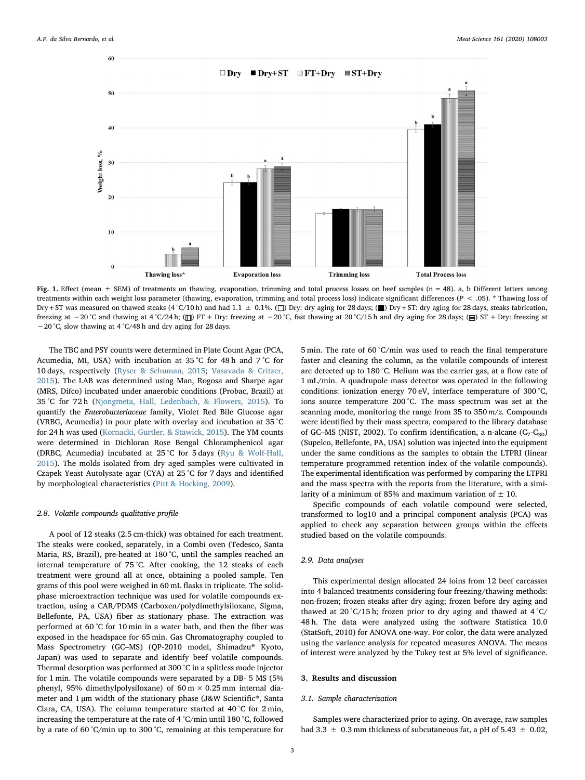<span id="page-2-0"></span>

Fig. 1. Effect (mean  $\pm$  SEM) of treatments on thawing, evaporation, trimming and total process losses on beef samples (n = 48). a, b Different letters among treatments within each weight loss parameter (thawing, evaporation, trimming and total process loss) indicate significant differences (P < .05). \* Thawing loss of Dry+ST was measured on thawed steaks (4 °C/10 h) and had 1.1  $\pm$  0.1%. ( $\square$ ) Dry: dry aging for 28 days; ( $\square$ ) Dry+ST: dry aging for 28 days, steaks fabrication, freezing at  $-20$  °C and thawing at  $4$  °C/24 h; ( $\Box$ ) FT + Dry: freezing at  $-20$  °C, fast thawing at 20 °C/15 h and dry aging for 28 days; ( $\Box$ ) ST + Dry: freezing at −20 °C, slow thawing at 4 °C/48 h and dry aging for 28 days.

The TBC and PSY counts were determined in Plate Count Agar (PCA, Acumedia, MI, USA) with incubation at 35 °C for 48 h and 7 °C for 10 days, respectively ([Ryser & Schuman, 2015](#page-8-12); [Vasavada & Critzer,](#page-8-13) [2015\)](#page-8-13). The LAB was determined using Man, Rogosa and Sharpe agar (MRS, Difco) incubated under anaerobic conditions (Probac, Brazil) at 35 °C for 72 h [\(Njongmeta, Hall, Ledenbach, & Flowers, 2015\)](#page-8-14). To quantify the Enterobacteriaceae family, Violet Red Bile Glucose agar (VRBG, Acumedia) in pour plate with overlay and incubation at 35 °C for 24 h was used ([Kornacki, Gurtler, & Stawick, 2015](#page-8-15)). The YM counts were determined in Dichloran Rose Bengal Chloramphenicol agar (DRBC, Acumedia) incubated at 25 °C for 5 days ([Ryu & Wolf-Hall,](#page-8-16) [2015\)](#page-8-16). The molds isolated from dry aged samples were cultivated in Czapek Yeast Autolysate agar (CYA) at 25 °C for 7 days and identified by morphological characteristics ([Pitt & Hocking, 2009](#page-8-17)).

## 2.8. Volatile compounds qualitative profile

A pool of 12 steaks (2.5 cm-thick) was obtained for each treatment. The steaks were cooked, separately, in a Combi oven (Tedesco, Santa Maria, RS, Brazil), pre-heated at 180 °C, until the samples reached an internal temperature of 75 °C. After cooking, the 12 steaks of each treatment were ground all at once, obtaining a pooled sample. Ten grams of this pool were weighed in 60 mL flasks in triplicate. The solidphase microextraction technique was used for volatile compounds extraction, using a CAR/PDMS (Carboxen/polydimethylsiloxane, Sigma, Bellefonte, PA, USA) fiber as stationary phase. The extraction was performed at 60 °C for 10 min in a water bath, and then the fiber was exposed in the headspace for 65 min. Gas Chromatography coupled to Mass Spectrometry (GC–MS) (QP-2010 model, Shimadzu® Kyoto, Japan) was used to separate and identify beef volatile compounds. Thermal desorption was performed at 300 °C in a splitless mode injector for 1 min. The volatile compounds were separated by a DB- 5 MS (5% phenyl, 95% dimethylpolysiloxane) of 60 m  $\times$  0.25 mm internal diameter and 1 μm width of the stationary phase (J&W Scientific®, Santa Clara, CA, USA). The column temperature started at 40 °C for 2 min, increasing the temperature at the rate of 4 °C/min until 180 °C, followed by a rate of 60 °C/min up to 300 °C, remaining at this temperature for

5 min. The rate of 60 °C/min was used to reach the final temperature faster and cleaning the column, as the volatile compounds of interest are detected up to 180 °C. Helium was the carrier gas, at a flow rate of 1 mL/min. A quadrupole mass detector was operated in the following conditions: ionization energy 70 eV, interface temperature of 300 °C, ions source temperature 200 °C. The mass spectrum was set at the scanning mode, monitoring the range from  $35$  to  $350 \, \text{m/s}$ . Compounds were identified by their mass spectra, compared to the library database of GC–MS (NIST, 2002). To confirm identification, a n-alcane  $(C_7-C_{30})$ (Supelco, Bellefonte, PA, USA) solution was injected into the equipment under the same conditions as the samples to obtain the LTPRI (linear temperature programmed retention index of the volatile compounds). The experimental identification was performed by comparing the LTPRI and the mass spectra with the reports from the literature, with a similarity of a minimum of 85% and maximum variation of  $\pm$  10.

Specific compounds of each volatile compound were selected, transformed to log10 and a principal component analysis (PCA) was applied to check any separation between groups within the effects studied based on the volatile compounds.

#### 2.9. Data analyses

This experimental design allocated 24 loins from 12 beef carcasses into 4 balanced treatments considering four freezing/thawing methods: non-frozen; frozen steaks after dry aging; frozen before dry aging and thawed at 20 °C/15 h; frozen prior to dry aging and thawed at 4 °C/ 48 h. The data were analyzed using the software Statistica 10.0 (StatSoft, 2010) for ANOVA one-way. For color, the data were analyzed using the variance analysis for repeated measures ANOVA. The means of interest were analyzed by the Tukey test at 5% level of significance.

## 3. Results and discussion

### 3.1. Sample characterization

Samples were characterized prior to aging. On average, raw samples had 3.3  $\pm$  0.3 mm thickness of subcutaneous fat, a pH of 5.43  $\pm$  0.02,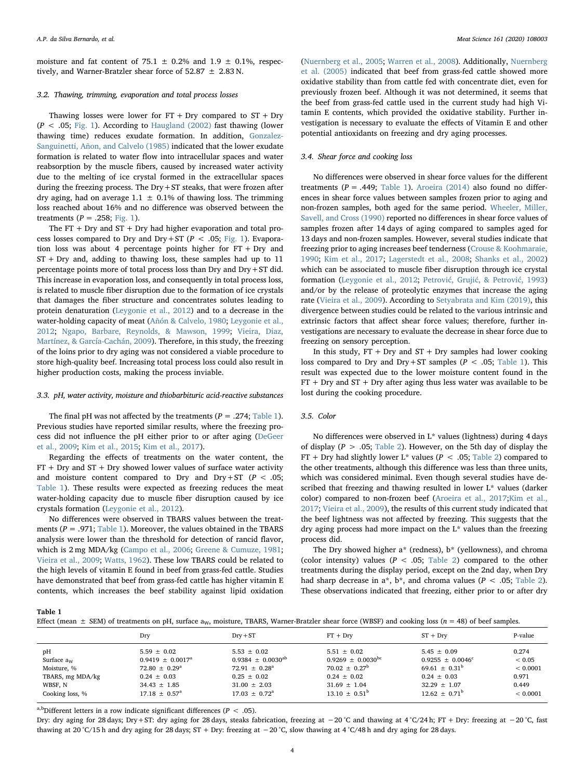moisture and fat content of 75.1  $\pm$  0.2% and 1.9  $\pm$  0.1%, respectively, and Warner-Bratzler shear force of  $52.87 \pm 2.83$  N.

## 3.2. Thawing, trimming, evaporation and total process losses

Thawing losses were lower for  $FT + Dry$  compared to  $ST + Dry$  $(P < .05; Fig. 1)$  $(P < .05; Fig. 1)$ . According to [Haugland \(2002\)](#page-8-18) fast thawing (lower thawing time) reduces exudate formation. In addition, [Gonzalez-](#page-7-10)[Sanguinetti, Añon, and Calvelo \(1985\)](#page-7-10) indicated that the lower exudate formation is related to water flow into intracellular spaces and water reabsorption by the muscle fibers, caused by increased water activity due to the melting of ice crystal formed in the extracellular spaces during the freezing process. The  $Dry + ST$  steaks, that were frozen after dry aging, had on average  $1.1 \pm 0.1\%$  of thawing loss. The trimming loss reached about 16% and no difference was observed between the treatments ( $P = .258$ ; [Fig. 1](#page-2-0)).

The  $FT + Dry$  and  $ST + Dry$  had higher evaporation and total process losses compared to Dry and Dry+ST ( $P < .05$ ; [Fig. 1](#page-2-0)). Evaporation loss was about 4 percentage points higher for  $FT + Dry$  and ST + Dry and, adding to thawing loss, these samples had up to 11 percentage points more of total process loss than Dry and Dry+ST did. This increase in evaporation loss, and consequently in total process loss, is related to muscle fiber disruption due to the formation of ice crystals that damages the fiber structure and concentrates solutes leading to protein denaturation ([Leygonie et al., 2012](#page-8-10)) and to a decrease in the water-holding capacity of meat ([Añón & Calvelo, 1980](#page-7-11); [Leygonie et al.,](#page-8-10) [2012;](#page-8-10) [Ngapo, Barbare, Reynolds, & Mawson, 1999](#page-8-19); [Vieira, Diaz,](#page-8-20) [Martínez, & García-Cachán, 2009](#page-8-20)). Therefore, in this study, the freezing of the loins prior to dry aging was not considered a viable procedure to store high-quality beef. Increasing total process loss could also result in higher production costs, making the process inviable.

## 3.3. pH, water activity, moisture and thiobarbituric acid-reactive substances

The final pH was not affected by the treatments  $(P = .274;$  [Table 1](#page-3-0)). Previous studies have reported similar results, where the freezing process did not influence the pH either prior to or after aging ([DeGeer](#page-7-0) [et al., 2009](#page-7-0); [Kim et al., 2015;](#page-8-11) [Kim et al., 2017\)](#page-8-7).

Regarding the effects of treatments on the water content, the  $FT + Dry$  and  $ST + Dry$  showed lower values of surface water activity and moisture content compared to Dry and Dry+ST ( $P < .05$ ; [Table 1\)](#page-3-0). These results were expected as freezing reduces the meat water-holding capacity due to muscle fiber disruption caused by ice crystals formation [\(Leygonie et al., 2012](#page-8-10)).

No differences were observed in TBARS values between the treatments ( $P = .971$ ; [Table 1\)](#page-3-0). Moreover, the values obtained in the TBARS analysis were lower than the threshold for detection of rancid flavor, which is 2 mg MDA/kg ([Campo et al., 2006](#page-7-12); [Greene & Cumuze, 1981](#page-8-21); [Vieira et al., 2009;](#page-8-20) [Watts, 1962](#page-8-22)). These low TBARS could be related to the high levels of vitamin E found in beef from grass-fed cattle. Studies have demonstrated that beef from grass-fed cattle has higher vitamin E contents, which increases the beef stability against lipid oxidation

([Nuernberg et al., 2005](#page-8-23); [Warren et al., 2008\)](#page-8-24). Additionally, [Nuernberg](#page-8-23) [et al. \(2005\)](#page-8-23) indicated that beef from grass-fed cattle showed more oxidative stability than from cattle fed with concentrate diet, even for previously frozen beef. Although it was not determined, it seems that the beef from grass-fed cattle used in the current study had high Vitamin E contents, which provided the oxidative stability. Further investigation is necessary to evaluate the effects of Vitamin E and other potential antioxidants on freezing and dry aging processes.

## 3.4. Shear force and cooking loss

No differences were observed in shear force values for the different treatments ( $P = .449$ ; [Table 1\)](#page-3-0). [Aroeira \(2014\)](#page-7-13) also found no differences in shear force values between samples frozen prior to aging and non-frozen samples, both aged for the same period. [Wheeler, Miller,](#page-8-25) [Savell, and Cross \(1990\)](#page-8-25) reported no differences in shear force values of samples frozen after 14 days of aging compared to samples aged for 13 days and non-frozen samples. However, several studies indicate that freezing prior to aging increases beef tenderness [\(Crouse & Koohmaraie,](#page-7-3) [1990;](#page-7-3) [Kim et al., 2017](#page-8-7); [Lagerstedt et al., 2008](#page-8-8); [Shanks et al., 2002\)](#page-8-9) which can be associated to muscle fiber disruption through ice crystal formation ([Leygonie et al., 2012](#page-8-10); Petrović, Grujić[, & Petrovi](#page-8-26)ć, 1993) and/or by the release of proteolytic enzymes that increase the aging rate ([Vieira et al., 2009](#page-8-20)). According to [Setyabrata and Kim \(2019\)](#page-8-27), this divergence between studies could be related to the various intrinsic and extrinsic factors that affect shear force values; therefore, further investigations are necessary to evaluate the decrease in shear force due to freezing on sensory perception.

In this study,  $FT + Dry$  and  $ST + Dry$  samples had lower cooking loss compared to Dry and Dry+ST samples ( $P < .05$ ; [Table 1](#page-3-0)). This result was expected due to the lower moisture content found in the  $FT + Dry$  and  $ST + Dry$  after aging thus less water was available to be lost during the cooking procedure.

## 3.5. Color

No differences were observed in L\* values (lightness) during 4 days of display ( $P > .05$ ; [Table 2\)](#page-4-0). However, on the 5th day of display the FT + Dry had slightly lower L\* values ( $P < .05$ ; [Table 2\)](#page-4-0) compared to the other treatments, although this difference was less than three units, which was considered minimal. Even though several studies have described that freezing and thawing resulted in lower L\* values (darker color) compared to non-frozen beef ([Aroeira et al., 2017](#page-7-14);[Kim et al.,](#page-8-7) [2017;](#page-8-7) [Vieira et al., 2009](#page-8-20)), the results of this current study indicated that the beef lightness was not affected by freezing. This suggests that the dry aging process had more impact on the L\* values than the freezing process did.

The Dry showed higher a\* (redness), b\* (yellowness), and chroma (color intensity) values ( $P < .05$ ; [Table 2\)](#page-4-0) compared to the other treatments during the display period, except on the 2nd day, when Dry had sharp decrease in  $a^*$ ,  $b^*$ , and chroma values ( $P < .05$ ; [Table 2](#page-4-0)). These observations indicated that freezing, either prior to or after dry

<span id="page-3-0"></span>Table 1

| Effect (mean $\pm$ SEM) of treatments on pH, surface $a_W$ , moisture, TBARS, Warner-Bratzler shear force (WBSF) and cooking loss ( $n = 48$ ) of beef samples. |  |
|-----------------------------------------------------------------------------------------------------------------------------------------------------------------|--|
|-----------------------------------------------------------------------------------------------------------------------------------------------------------------|--|

|                  | Dry                            | $Drv + ST$                    | $FT + Dry$                   | $ST + Dry$                    | P-value    |
|------------------|--------------------------------|-------------------------------|------------------------------|-------------------------------|------------|
| pH               | $5.59 \pm 0.02$                | $5.53 \pm 0.02$               | $5.51 \pm 0.02$              | $5.45 + 0.09$                 | 0.274      |
| Surface $a_w$    | $0.9419 \pm 0.0017^{\text{a}}$ | $0.9384 \pm 0.0030^{ab}$      | $0.9269 \pm 0.0030^{\rm bc}$ | $0.9255 \pm 0.0046^{\circ}$   | ${}< 0.05$ |
| Moisture, %      | $72.80 \pm 0.29^{\text{a}}$    | 72.91 $\pm$ 0.28 <sup>a</sup> | $70.02 \pm 0.27^{\rm b}$     | 69.61 $\pm$ 0.31 <sup>b</sup> | < 0.0001   |
| TBARS, mg MDA/kg | $0.24 \pm 0.03$                | $0.25 + 0.02$                 | $0.24 \pm 0.02$              | $0.24 \pm 0.03$               | 0.971      |
| WBSF, N          | $34.43 \pm 1.85$               | $31.00 \pm 2.03$              | $31.69 \pm 1.04$             | $32.29 \pm 1.07$              | 0.449      |
| Cooking loss, %  | $17.18 \pm 0.57^{\circ}$       | $17.03 \pm 0.72^{\circ}$      | $13.10 \pm 0.51^{\rm b}$     | $12.62 \pm 0.71^{\circ}$      | < 0.0001   |

a,b<sub>Different</sub> letters in a row indicate significant differences ( $P < .05$ ).

Dry: dry aging for 28 days; Dry+ST: dry aging for 28 days, steaks fabrication, freezing at −20 °C and thawing at 4 °C/24 h; FT + Dry: freezing at −20 °C, fast thawing at 20 °C/15 h and dry aging for 28 days; ST + Dry: freezing at −20 °C, slow thawing at 4 °C/48 h and dry aging for 28 days.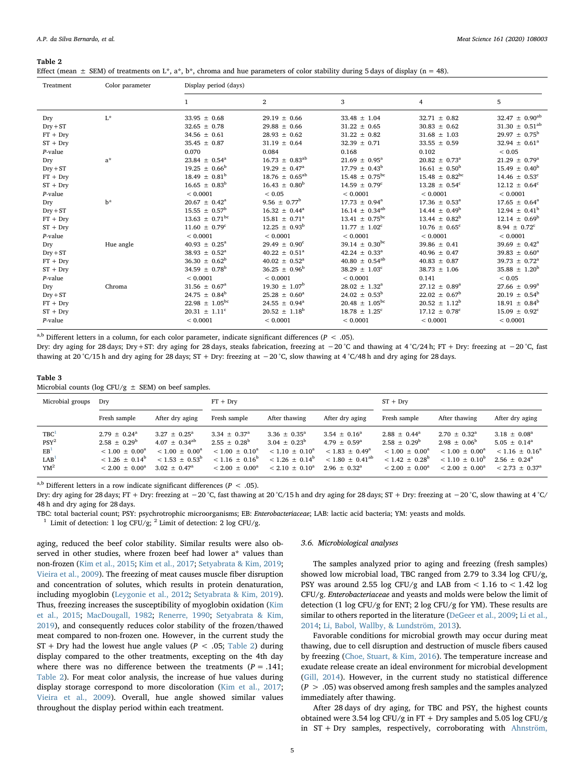#### <span id="page-4-0"></span>Table 2

| Effect (mean $\pm$ SEM) of treatments on L*, a*, b*, chroma and hue parameters of color stability during 5 days of display (n = 48). |  |  |  |
|--------------------------------------------------------------------------------------------------------------------------------------|--|--|--|
|--------------------------------------------------------------------------------------------------------------------------------------|--|--|--|

| Treatment  | Color parameter | Display period (days)         |                          |                                |                               |                               |  |
|------------|-----------------|-------------------------------|--------------------------|--------------------------------|-------------------------------|-------------------------------|--|
|            |                 | 1                             | $\overline{2}$           | 3                              | $\overline{4}$                | 5                             |  |
| Dry        | $L^*$           | $33.95 \pm 0.68$              | $29.19 \pm 0.66$         | $33.48 \pm 1.04$               | $32.71 \pm 0.82$              | $32.47 \pm 0.90^{ab}$         |  |
| $Dry + ST$ |                 | $32.65 \pm 0.78$              | $29.88 \pm 0.66$         | $31.22 \pm 0.65$               | $30.83 \pm 0.62$              | $31.30 \pm 0.51^{ab}$         |  |
| $FT + Dry$ |                 | $34.56 \pm 0.61$              | $28.93 \pm 0.62$         | $31.22 \pm 0.82$               | $31.68 \pm 1.03$              | $29.97 \pm 0.75^{\rm b}$      |  |
| $ST + Dry$ |                 | $35.45 \pm 0.87$              | $31.19 \pm 0.64$         | $32.39 \pm 0.71$               | $33.55 \pm 0.59$              | 32.94 $\pm$ 0.61 <sup>a</sup> |  |
| $P$ -value |                 | 0.070                         | 0.084                    | 0.168                          | 0.102                         | ${}< 0.05$                    |  |
| Dry        | $a^*$           | $23.84 \pm 0.54^a$            | $16.73 \pm 0.83^{ab}$    | $21.69 \pm 0.95^a$             | $20.82 \pm 0.73^{\circ}$      | $21.29 \pm 0.79^a$            |  |
| $Dry + ST$ |                 | $19.25 \pm 0.66^{\rm b}$      | $19.29 \pm 0.47^{\circ}$ | $17.79 \pm 0.43^b$             | $16.61 \pm 0.50^{\rm b}$      | $15.49 \pm 0.40^{\rm b}$      |  |
| $FT + Dry$ |                 | $18.49 \pm 0.81^b$            | $18.76 \pm 0.65^{ab}$    | $15.48 \pm 0.75^{\rm bc}$      | $15.48 \pm 0.82^{\rm bc}$     | $14.46 \pm 0.53^c$            |  |
| $ST + Dry$ |                 | $16.65 \pm 0.83^b$            | $16.43 \pm 0.80^{\rm b}$ | $14.59 \pm 0.79^{\circ}$       | $13.28 \pm 0.54^c$            | $12.12 \pm 0.64^c$            |  |
| $P$ -value |                 | < 0.0001                      | ${}< 0.05$               | < 0.0001                       | < 0.0001                      | < 0.0001                      |  |
| Dry        | $b^*$           | $20.67 \pm 0.42^a$            | $9.56 \pm 0.77^{\rm b}$  | $17.73 \pm 0.94^{\circ}$       | $17.36 \pm 0.53^{\text{a}}$   | $17.65 \pm 0.64^a$            |  |
| $Dry + ST$ |                 | 15.55 $\pm$ 0.57 <sup>b</sup> | $16.32 \pm 0.44^a$       | $16.14 \pm 0.34^{ab}$          | $14.44 \pm 0.49^b$            | $12.94 \pm 0.41^b$            |  |
| $FT + Dry$ |                 | $13.63 \pm 0.71^{\rm bc}$     | $15.81 \pm 0.71^a$       | $13.41 \pm 0.75^{\rm bc}$      | $13.44 \pm 0.82^b$            | $12.14 \pm 0.69^{\rm b}$      |  |
| $ST + Dry$ |                 | $11.60 \pm 0.79$ <sup>c</sup> | $12.25 \pm 0.93^{\rm b}$ | $11.77 \pm 1.02^c$             | $10.76 \pm 0.65^{\circ}$      | $8.94 \pm 0.72^{\circ}$       |  |
| $P$ -value |                 | < 0.0001                      | < 0.0001                 | < 0.0001                       | < 0.0001                      | ${}< 0.0001$                  |  |
| Dry        | Hue angle       | $40.93 \pm 0.25^a$            | $29.49 \pm 0.90^{\circ}$ | 39.14 $\pm$ 0.30 <sup>bc</sup> | $39.86 \pm 0.41$              | 39.69 $\pm$ 0.42 <sup>a</sup> |  |
| $Dry + ST$ |                 | $38.93 \pm 0.52^a$            | $40.22 \pm 0.51^a$       | 42.24 $\pm$ 0.33 <sup>a</sup>  | $40.96 \pm 0.47$              | 39.83 $\pm$ 0.60 <sup>a</sup> |  |
| $FT + Dry$ |                 | $36.30 \pm 0.62^b$            | $40.02 \pm 0.52^a$       | $40.80 \pm 0.54^{ab}$          | $40.83 \pm 0.87$              | $39.73 \pm 0.72^a$            |  |
| $ST + Dry$ |                 | 34.59 $\pm$ 0.78 <sup>b</sup> | $36.25 \pm 0.96^b$       | $38.29 \pm 1.03^c$             | $38.73 \pm 1.06$              | $35.88 \pm 1.20^b$            |  |
| $P$ -value |                 | < 0.0001                      | < 0.0001                 | < 0.0001                       | 0.141                         | ${}< 0.05$                    |  |
| Dry        | Chroma          | $31.56 \pm 0.67^a$            | $19.30 \pm 1.07^{\rm b}$ | $28.02 \pm 1.32^a$             | $27.12 \pm 0.89^a$            | $27.66 \pm 0.99^{\circ}$      |  |
| $Dry + ST$ |                 | $24.75 \pm 0.84^b$            | $25.28 \pm 0.60^a$       | $24.02 \pm 0.53^{\rm b}$       | $22.02 \pm 0.67^{\rm b}$      | $20.19 \pm 0.54^b$            |  |
| $FT + Dry$ |                 | $22.98 \pm 1.05^{\rm bc}$     | $24.55 \pm 0.94^a$       | $20.48 \pm 1.05^{\rm bc}$      | $20.52 \pm 1.12^b$            | $18.91 \pm 0.84^b$            |  |
| $ST + Dry$ |                 | $20.31 \pm 1.11^c$            | $20.52 \pm 1.18^b$       | $18.78 \pm 1.25^c$             | $17.12 \pm 0.78$ <sup>c</sup> | $15.09 \pm 0.92^c$            |  |
| $P$ -value |                 | < 0.0001                      | < 0.0001                 | < 0.0001                       | < 0.0001                      | < 0.0001                      |  |

a,b Different letters in a column, for each color parameter, indicate significant differences ( $P < .05$ ).

Dry: dry aging for 28 days; Dry+ST: dry aging for 28 days, steaks fabrication, freezing at −20 °C and thawing at 4 °C/24 h; FT + Dry: freezing at −20 °C, fast thawing at 20 °C/15 h and dry aging for 28 days; ST + Dry: freezing at −20 °C, slow thawing at 4 °C/48 h and dry aging for 28 days.

#### <span id="page-4-2"></span>Table 3

Microbial counts (log CFU/g  $\pm$  SEM) on beef samples.

| Microbial groups                                                                               | Drv                                                                                                                  |                                                                                                                                    | $FT + Dry$                                                                                                              |                                                                                                                   | $ST + Dry$                                                                                                                       |                                                                                                                   |                                                                                                                   |                                                                                                                         |
|------------------------------------------------------------------------------------------------|----------------------------------------------------------------------------------------------------------------------|------------------------------------------------------------------------------------------------------------------------------------|-------------------------------------------------------------------------------------------------------------------------|-------------------------------------------------------------------------------------------------------------------|----------------------------------------------------------------------------------------------------------------------------------|-------------------------------------------------------------------------------------------------------------------|-------------------------------------------------------------------------------------------------------------------|-------------------------------------------------------------------------------------------------------------------------|
|                                                                                                | Fresh sample                                                                                                         | After dry aging                                                                                                                    | Fresh sample                                                                                                            | After thawing                                                                                                     | After dry aging                                                                                                                  | Fresh sample                                                                                                      | After thawing                                                                                                     | After dry aging                                                                                                         |
| TBC <sup>1</sup><br>PSY <sup>2</sup><br>EB <sup>1</sup><br>LAB <sup>1</sup><br>YM <sup>2</sup> | $2.79 \pm 0.24^{\circ}$<br>$2.58 + 0.29^b$<br>$< 1.00 + 0.00^a$<br>$< 1.26 + 0.14^b$<br>$< 2.00 \pm 0.00^{\text{a}}$ | $3.27 + 0.25^{\circ}$<br>$4.07 \pm 0.34^{\text{ab}}$<br>$< 1.00 + 0.00^{\circ}$<br>$<$ 1.53 + 0.53 <sup>b</sup><br>$3.02 + 0.47^a$ | $3.34 \pm 0.37^{\circ}$<br>$2.55 \pm 0.28^{\rm b}$<br>$< 1.00 + 0.10^{\circ}$<br>$< 1.16 + 0.16^b$<br>$< 2.00 + 0.00^a$ | $3.36 \pm 0.35^{\circ}$<br>$3.04 \pm 0.23^{\rm b}$<br>$< 1.10 + 0.10^a$<br>$< 1.26 + 0.14^b$<br>$< 2.10 + 0.10^a$ | $3.54 \pm 0.16^{\circ}$<br>$4.79 \pm 0.59^{\circ}$<br>$< 1.83 + 0.49^{\circ}$<br>$< 1.80 + 0.41^{ab}$<br>$2.96 \pm 0.32^{\circ}$ | $2.88 \pm 0.44^a$<br>$2.58 \pm 0.29^{\circ}$<br>$< 1.00 + 0.00^a$<br>$< 1.42 + 0.28^{\circ}$<br>$< 2.00 + 0.00^a$ | $2.70 \pm 0.32^{\circ}$<br>$2.98 \pm 0.06^{\circ}$<br>$< 1.00 + 0.00^a$<br>$< 1.10 + 0.10^b$<br>$< 2.00 + 0.00^a$ | $3.18 \pm 0.08^{\circ}$<br>$5.05 \pm 0.14^{\circ}$<br>$< 1.16 + 0.16^a$<br>$2.56 + 0.24^a$<br>$< 2.73 \pm 0.37^{\rm a}$ |

a,b Different letters in a row indicate significant differences ( $P < .05$ ).

Dry: dry aging for 28 days; FT + Dry: freezing at −20 °C, fast thawing at 20 °C/15 h and dry aging for 28 days; ST + Dry: freezing at −20 °C, slow thawing at 4 °C/ 48 h and dry aging for 28 days.

TBC: total bacterial count; PSY: psychrotrophic microorganisms; EB: Enterobacteriaceae; LAB: lactic acid bacteria; YM: yeasts and molds.

<span id="page-4-1"></span><sup>1</sup> Limit of detection: 1 log CFU/g; <sup>2</sup> Limit of detection: 2 log CFU/g.

aging, reduced the beef color stability. Similar results were also observed in other studies, where frozen beef had lower a\* values than non-frozen ([Kim et al., 2015](#page-8-11); [Kim et al., 2017;](#page-8-7) [Setyabrata & Kim, 2019](#page-8-27); [Vieira et al., 2009\)](#page-8-20). The freezing of meat causes muscle fiber disruption and concentration of solutes, which results in protein denaturation, including myoglobin ([Leygonie et al., 2012;](#page-8-10) [Setyabrata & Kim, 2019](#page-8-27)). Thus, freezing increases the susceptibility of myoglobin oxidation [\(Kim](#page-8-11) [et al., 2015;](#page-8-11) [MacDougall, 1982](#page-8-28); [Renerre, 1990;](#page-8-29) [Setyabrata & Kim,](#page-8-27) [2019\)](#page-8-27), and consequently reduces color stability of the frozen/thawed meat compared to non-frozen one. However, in the current study the  $ST + Dry$  had the lowest hue angle values ( $P < .05$ ; [Table 2](#page-4-0)) during display compared to the other treatments, excepting on the 4th day where there was no difference between the treatments ( $P = .141$ ; [Table 2](#page-4-0)). For meat color analysis, the increase of hue values during display storage correspond to more discoloration ([Kim et al., 2017](#page-8-7); [Vieira et al., 2009\)](#page-8-20). Overall, hue angle showed similar values throughout the display period within each treatment.

## 3.6. Microbiological analyses

The samples analyzed prior to aging and freezing (fresh samples) showed low microbial load, TBC ranged from 2.79 to 3.34 log CFU/g, PSY was around 2.55 log CFU/g and LAB from  $< 1.16$  to  $< 1.42$  log CFU/g. Enterobacteriaceae and yeasts and molds were below the limit of detection (1 log CFU/g for ENT; 2 log CFU/g for YM). These results are similar to others reported in the literature ([DeGeer et al., 2009](#page-7-0); [Li et al.,](#page-8-30) [2014;](#page-8-30) [Li, Babol, Wallby, & Lundström, 2013\)](#page-8-31).

Favorable conditions for microbial growth may occur during meat thawing, due to cell disruption and destruction of muscle fibers caused by freezing [\(Choe, Stuart, & Kim, 2016\)](#page-7-15). The temperature increase and exudate release create an ideal environment for microbial development ([Gill, 2014](#page-7-16)). However, in the current study no statistical difference  $(P > .05)$  was observed among fresh samples and the samples analyzed immediately after thawing.

After 28 days of dry aging, for TBC and PSY, the highest counts obtained were 3.54  $\log$  CFU/g in FT + Dry samples and 5.05  $\log$  CFU/g in ST + Dry samples, respectively, corroborating with [Ahnström,](#page-7-17)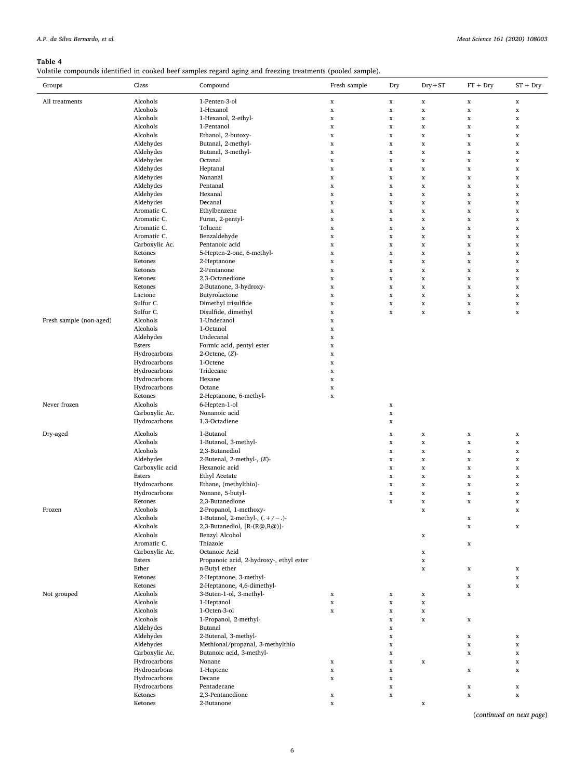## <span id="page-5-0"></span>Table 4

Volatile compounds identified in cooked beef samples regard aging and freezing treatments (pooled sample).

| Groups                  | Class                   | Compound                                | Fresh sample | Dry         | $Dry + ST$  | $FT + Dry$  | $ST + Dry$  |
|-------------------------|-------------------------|-----------------------------------------|--------------|-------------|-------------|-------------|-------------|
| All treatments          | Alcohols                | 1-Penten-3-ol                           | $\mathbf x$  | $\mathbf x$ | $\mathbf x$ | $\mathbf x$ | $\mathbf x$ |
|                         | Alcohols                | 1-Hexanol                               | $\mathbf x$  | $\mathbf x$ | $\mathbf x$ | $\mathbf x$ | $\mathbf x$ |
|                         | Alcohols                | 1-Hexanol, 2-ethyl-                     | $\mathbf x$  | $\mathbf x$ | $\mathbf x$ | $\mathbf x$ | $\mathbf x$ |
|                         | Alcohols                | 1-Pentanol                              | $\mathbf x$  | $\mathbf x$ | $\mathbf x$ | $\mathbf x$ | $\mathbf x$ |
|                         | Alcohols                | Ethanol, 2-butoxy-                      | $\mathbf x$  | $\mathbf x$ | $\mathbf x$ | $\mathbf x$ | $\mathbf x$ |
|                         | Aldehydes               | Butanal, 2-methyl-                      | $\mathbf x$  | $\mathbf x$ | $\mathbf x$ | $\mathbf x$ | $\mathbf x$ |
|                         | Aldehydes               | Butanal, 3-methyl-                      | $\mathbf x$  | $\mathbf x$ | $\mathbf x$ | $\mathbf x$ | $\mathbf x$ |
|                         | Aldehydes               | Octanal                                 | $\mathbf x$  | $\mathbf x$ | $\mathbf x$ | $\mathbf x$ | $\mathbf x$ |
|                         | Aldehydes               | Heptanal                                | $\mathbf x$  | $\mathbf x$ | $\mathbf x$ | $\mathbf x$ | $\mathbf x$ |
|                         | Aldehydes               | Nonanal                                 | $\mathbf x$  | $\mathbf x$ | $\mathbf x$ | $\mathbf x$ | $\mathbf x$ |
|                         | Aldehydes               | Pentanal                                | $\mathbf x$  | $\mathbf x$ | $\mathbf x$ | $\mathbf x$ | $\mathbf x$ |
|                         | Aldehydes               | Hexanal                                 | $\mathbf x$  | $\mathbf x$ | $\mathbf x$ | $\mathbf x$ | $\mathbf x$ |
|                         | Aldehydes               | Decanal                                 | $\mathbf x$  | $\mathbf x$ | $\mathbf x$ | $\mathbf x$ | $\mathbf x$ |
|                         | Aromatic C.             | Ethylbenzene                            | $\mathbf x$  | $\mathbf x$ | $\mathbf x$ | $\mathbf x$ | $\mathbf x$ |
|                         | Aromatic C.             | Furan, 2-pentyl-                        | $\mathbf x$  | $\mathbf x$ | $\mathbf x$ | $\mathbf x$ | $\mathbf x$ |
|                         | Aromatic C.             | Toluene                                 | $\mathbf x$  | $\mathbf x$ | $\mathbf x$ | $\mathbf x$ | $\mathbf x$ |
|                         | Aromatic C.             | Benzaldehyde                            | $\mathbf x$  | $\mathbf x$ | $\mathbf x$ | $\mathbf x$ | $\mathbf x$ |
|                         | Carboxylic Ac.          | Pentanoic acid                          | $\mathbf x$  | $\mathbf x$ | $\mathbf x$ | $\mathbf x$ | $\mathbf x$ |
|                         | Ketones                 | 5-Hepten-2-one, 6-methyl-               | $\mathbf x$  | $\mathbf x$ | $\mathbf x$ | $\mathbf x$ | $\mathbf x$ |
|                         | Ketones                 | 2-Heptanone                             | $\mathbf x$  | $\mathbf x$ | $\mathbf x$ | $\mathbf x$ | $\mathbf x$ |
|                         | Ketones                 | 2-Pentanone                             | $\mathbf x$  | $\mathbf x$ | $\mathbf x$ | $\mathbf x$ | $\mathbf x$ |
|                         | Ketones                 | 2,3-Octanedione                         | $\mathbf x$  | $\mathbf x$ | $\mathbf x$ | $\mathbf x$ | $\mathbf x$ |
|                         | Ketones                 | 2-Butanone, 3-hydroxy-                  | $\mathbf x$  | $\mathbf x$ | $\mathbf x$ | $\mathbf x$ | $\mathbf x$ |
|                         | Lactone                 | Butyrolactone                           | $\mathbf x$  | $\mathbf x$ | $\mathbf x$ | $\mathbf x$ | $\mathbf x$ |
|                         | Sulfur C.               | Dimethyl trisulfide                     | $\mathbf x$  | $\mathbf x$ | $\mathbf x$ | $\mathbf x$ | $\mathbf x$ |
|                         | Sulfur C.               | Disulfide, dimethyl                     | $\mathbf x$  | $\mathbf x$ | $\mathbf x$ | $\mathbf x$ | $\mathbf x$ |
| Fresh sample (non-aged) | Alcohols                | 1-Undecanol                             | $\mathbf x$  |             |             |             |             |
|                         | Alcohols                | 1-Octanol                               | $\mathbf x$  |             |             |             |             |
|                         | Aldehydes               | Undecanal                               | $\mathbf x$  |             |             |             |             |
|                         | Esters                  | Formic acid, pentyl ester               | $\mathbf x$  |             |             |             |             |
|                         | Hydrocarbons            | $2$ -Octene, $(Z)$ -                    | $\mathbf x$  |             |             |             |             |
|                         | Hydrocarbons            | 1-Octene                                | $\mathbf x$  |             |             |             |             |
|                         | Hydrocarbons            | Tridecane                               | $\mathbf x$  |             |             |             |             |
|                         | Hydrocarbons            | Hexane                                  | $\mathbf x$  |             |             |             |             |
|                         | Hydrocarbons            | Octane                                  | $\mathbf x$  |             |             |             |             |
|                         | Ketones                 | 2-Heptanone, 6-methyl-                  | $\mathbf x$  |             |             |             |             |
| Never frozen            | Alcohols                | 6-Hepten-1-ol                           |              | $\mathbf x$ |             |             |             |
|                         | Carboxylic Ac.          | Nonanoic acid                           |              | $\mathbf x$ |             |             |             |
|                         | Hydrocarbons            | 1,3-Octadiene                           |              | $\mathbf x$ |             |             |             |
| Dry-aged                | Alcohols                | 1-Butanol                               |              | $\mathbf x$ | $\mathbf x$ | $\mathbf x$ | $\mathbf x$ |
|                         | Alcohols                | 1-Butanol, 3-methyl-                    |              | $\mathbf x$ | $\mathbf x$ | $\mathbf x$ | $\mathbf x$ |
|                         | Alcohols                | 2,3-Butanediol                          |              | $\mathbf x$ | $\mathbf x$ | $\mathbf x$ | $\mathbf x$ |
|                         | Aldehydes               | 2-Butenal, 2-methyl-, (E)-              |              | $\mathbf x$ | $\mathbf x$ | $\mathbf x$ | $\mathbf x$ |
|                         | Carboxylic acid         | Hexanoic acid                           |              | $\mathbf x$ | $\mathbf x$ | $\mathbf x$ | $\mathbf x$ |
|                         | Esters                  | <b>Ethyl Acetate</b>                    |              | $\mathbf x$ | $\mathbf x$ | $\mathbf x$ | $\mathbf x$ |
|                         | Hydrocarbons            | Ethane, (methylthio)-                   |              | $\mathbf x$ | $\mathbf x$ | $\mathbf x$ | $\mathbf x$ |
|                         | Hydrocarbons            | Nonane, 5-butyl-                        |              | $\mathbf x$ | $\mathbf x$ | $\mathbf x$ | $\mathbf x$ |
|                         | Ketones                 | 2,3-Butanedione                         |              | $\mathbf x$ | $\mathbf x$ | $\mathbf x$ | $\mathbf x$ |
| Frozen                  | Alcohols                | 2-Propanol, 1-methoxy-                  |              |             | $\mathbf x$ |             | $\mathbf x$ |
|                         | Alcohols                | 1-Butanol, 2-methyl-, $(.+/-.)$ -       |              |             |             | x           |             |
|                         | Alcohols                | 2,3-Butanediol, [R-(R@,R@)]-            |              |             |             | $\mathbf x$ | $\mathbf x$ |
|                         | Alcohols                | Benzyl Alcohol                          |              |             | $\mathbf x$ |             |             |
|                         | Aromatic C.             | Thiazole                                |              |             |             | $\mathbf x$ |             |
|                         | Carboxylic Ac.          | Octanoic Acid                           |              |             | $\mathbf x$ |             |             |
|                         | Esters                  | Propanoic acid, 2-hydroxy-, ethyl ester |              |             | $\mathbf x$ |             |             |
|                         | Ether                   | n-Butyl ether                           |              |             | $\mathbf x$ | $\mathbf x$ | $\mathbf x$ |
|                         | Ketones                 | 2-Heptanone, 3-methyl-                  |              |             |             |             | $\mathbf x$ |
|                         | Ketones                 | 2-Heptanone, 4,6-dimethyl-              |              |             |             | $\mathbf x$ | $\mathbf x$ |
| Not grouped             | Alcohols                | 3-Buten-1-ol, 3-methyl-                 | $\mathbf x$  | $\mathbf x$ | $\mathbf x$ | $\mathbf x$ |             |
|                         | Alcohols                | 1-Heptanol                              | $\mathbf x$  | $\mathbf x$ | $\mathbf x$ |             |             |
|                         | Alcohols                | 1-Octen-3-ol                            | $\mathbf x$  | $\mathbf x$ | $\mathbf x$ |             |             |
|                         | Alcohols                | 1-Propanol, 2-methyl-                   |              | $\mathbf x$ | $\mathbf x$ | $\mathbf x$ |             |
|                         | Aldehydes               | Butanal                                 |              | $\mathbf x$ |             |             |             |
|                         | Aldehydes               | 2-Butenal, 3-methyl-                    |              | $\mathbf x$ |             | $\mathbf x$ | $\mathbf x$ |
|                         | Aldehydes               | Methional/propanal, 3-methylthio        |              | $\mathbf x$ |             | $\mathbf x$ | $\mathbf x$ |
|                         | Carboxylic Ac.          | Butanoic acid, 3-methyl-                |              | $\mathbf x$ |             | $\mathbf x$ | $\mathbf x$ |
|                         | Hydrocarbons            | Nonane                                  | $\mathbf x$  | $\mathbf x$ | $\mathbf x$ |             | $\mathbf x$ |
|                         | Hydrocarbons            | 1-Heptene                               | $\mathbf x$  | $\mathbf x$ |             | $\mathbf x$ | $\mathbf x$ |
|                         | Hydrocarbons            | Decane<br>Pentadecane                   | $\mathbf x$  | $\mathbf x$ |             |             |             |
|                         | Hydrocarbons<br>Ketones | 2,3-Pentanedione                        |              | $\mathbf x$ |             | $\mathbf x$ | $\mathbf x$ |
|                         | Ketones                 | 2-Butanone                              | $\mathbf x$  | $\mathbf x$ |             | $\mathbf x$ | $\mathbf x$ |
|                         |                         |                                         | $\mathbf x$  |             | $\mathbf x$ |             |             |

(continued on next page)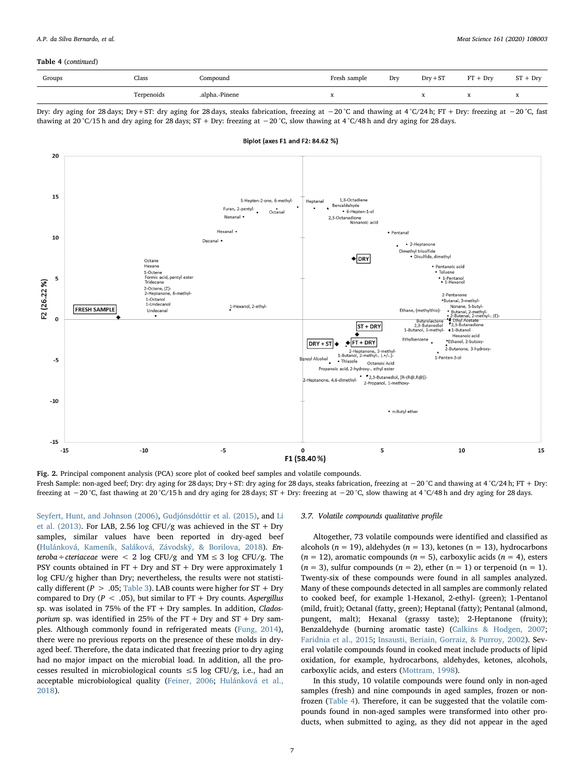#### Table 4 (continued)

| Groups | Class<br>- - - - | Compound       | Fresh sample | Dry | $Drv + ST$ | <b>ET</b><br>$+$ Dry | ST<br>$+$ Dry |
|--------|------------------|----------------|--------------|-----|------------|----------------------|---------------|
|        | Terpenoids       | .alpha.-Pinene |              |     | ≖          |                      | $\mathbf{v}$  |

Dry: dry aging for 28 days; Dry+ST: dry aging for 28 days, steaks fabrication, freezing at −20 °C and thawing at 4 °C/24 h; FT + Dry: freezing at −20 °C, fast thawing at 20 °C/15 h and dry aging for 28 days; ST + Dry: freezing at −20 °C, slow thawing at 4 °C/48 h and dry aging for 28 days.

<span id="page-6-0"></span>

Fig. 2. Principal component analysis (PCA) score plot of cooked beef samples and volatile compounds. Fresh Sample: non-aged beef; Dry: dry aging for 28 days; Dry+ST: dry aging for 28 days, steaks fabrication, freezing at −20 °C and thawing at 4 °C/24 h; FT + Dry: freezing at −20 °C, fast thawing at 20 °C/15 h and dry aging for 28 days; ST + Dry: freezing at −20 °C, slow thawing at 4 °C/48 h and dry aging for 28 days.

[Seyfert, Hunt, and Johnson \(2006\)](#page-7-17), [Gudjónsdóttir et al. \(2015\),](#page-8-32) and [Li](#page-8-31) [et al. \(2013\).](#page-8-31) For LAB, 2.56 log CFU/g was achieved in the ST + Dry samples, similar values have been reported in dry-aged beef ([Hulánková, Kameník, Saláková, Závodský, & Borilova, 2018](#page-8-33)). Enteroba÷cteriaceae were < 2 log CFU/g and YM  $\leq$  3 log CFU/g. The PSY counts obtained in  $FT + Dry$  and  $ST + Dry$  were approximately 1 log CFU/g higher than Dry; nevertheless, the results were not statistically different ( $P > .05$ ; [Table 3\)](#page-4-2). LAB counts were higher for ST + Dry compared to Dry ( $P < .05$ ), but similar to FT + Dry counts. Aspergillus sp. was isolated in 75% of the  $FT + Dry$  samples. In addition, *Clados*porium sp. was identified in 25% of the FT + Dry and  $ST$  + Dry samples. Although commonly found in refrigerated meats ([Fung, 2014](#page-7-18)), there were no previous reports on the presence of these molds in dryaged beef. Therefore, the data indicated that freezing prior to dry aging had no major impact on the microbial load. In addition, all the processes resulted in microbiological counts  $\leq$  5 log CFU/g, i.e., had an acceptable microbiological quality ([Feiner, 2006](#page-7-19); [Hulánková et al.,](#page-8-33) [2018\)](#page-8-33).

#### 3.7. Volatile compounds qualitative profile

Altogether, 73 volatile compounds were identified and classified as alcohols ( $n = 19$ ), aldehydes ( $n = 13$ ), ketones ( $n = 13$ ), hydrocarbons  $(n = 12)$ , aromatic compounds  $(n = 5)$ , carboxylic acids  $(n = 4)$ , esters  $(n = 3)$ , sulfur compounds  $(n = 2)$ , ether  $(n = 1)$  or terpenoid  $(n = 1)$ . Twenty-six of these compounds were found in all samples analyzed. Many of these compounds detected in all samples are commonly related to cooked beef, for example 1-Hexanol, 2-ethyl- (green); 1-Pentanol (mild, fruit); Octanal (fatty, green); Heptanal (fatty); Pentanal (almond, pungent, malt); Hexanal (grassy taste); 2-Heptanone (fruity); Benzaldehyde (burning aromatic taste) ([Calkins & Hodgen, 2007](#page-7-20); [Faridnia et al., 2015](#page-7-21); [Insausti, Beriain, Gorraiz, & Purroy, 2002\)](#page-8-34). Several volatile compounds found in cooked meat include products of lipid oxidation, for example, hydrocarbons, aldehydes, ketones, alcohols, carboxylic acids, and esters ([Mottram, 1998](#page-8-35)).

In this study, 10 volatile compounds were found only in non-aged samples (fresh) and nine compounds in aged samples, frozen or nonfrozen ([Table 4](#page-5-0)). Therefore, it can be suggested that the volatile compounds found in non-aged samples were transformed into other products, when submitted to aging, as they did not appear in the aged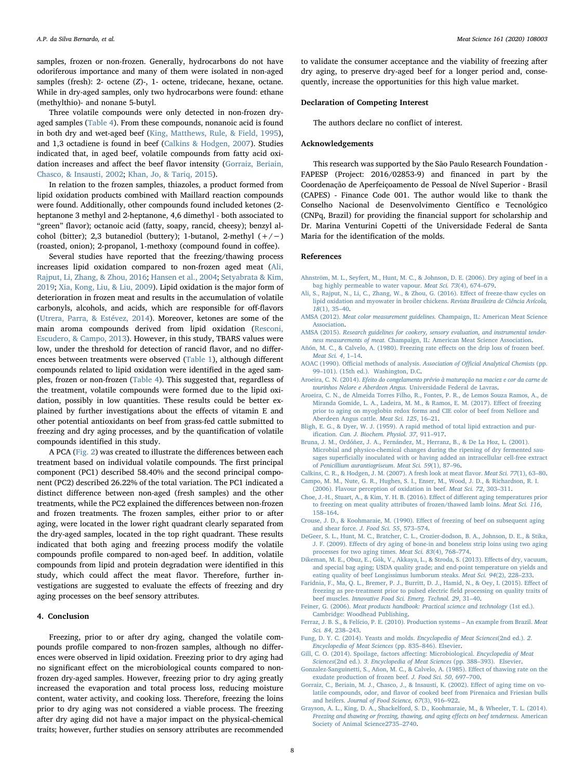samples, frozen or non-frozen. Generally, hydrocarbons do not have odoriferous importance and many of them were isolated in non-aged samples (fresh): 2- octene (Z)-, 1- octene, tridecane, hexane, octane. While in dry-aged samples, only two hydrocarbons were found: ethane (methylthio)- and nonane 5-butyl.

Three volatile compounds were only detected in non-frozen dryaged samples ([Table 4\)](#page-5-0). From these compounds, nonanoic acid is found in both dry and wet-aged beef ([King, Matthews, Rule, & Field, 1995](#page-8-36)), and 1,3 octadiene is found in beef [\(Calkins & Hodgen, 2007](#page-7-20)). Studies indicated that, in aged beef, volatile compounds from fatty acid oxidation increases and affect the beef flavor intensity ([Gorraiz, Beriain,](#page-7-22) [Chasco, & Insausti, 2002;](#page-7-22) [Khan, Jo, & Tariq, 2015\)](#page-8-37).

In relation to the frozen samples, thiazoles, a product formed from lipid oxidation products combined with Maillard reaction compounds were found. Additionally, other compounds found included ketones (2 heptanone 3 methyl and 2-heptanone, 4,6 dimethyl - both associated to "green" flavor); octanoic acid (fatty, soapy, rancid, cheesy); benzyl alcohol (bitter); 2,3 butanediol (buttery); 1-butanol, 2-methyl  $(+/-)$ (roasted, onion); 2-propanol, 1-methoxy (compound found in coffee).

Several studies have reported that the freezing/thawing process increases lipid oxidation compared to non-frozen aged meat [\(Ali,](#page-7-23) [Rajput, Li, Zhang, & Zhou, 2016;](#page-7-23) [Hansen et al., 2004](#page-8-38); [Setyabrata & Kim,](#page-8-27) [2019;](#page-8-27) [Xia, Kong, Liu, & Liu, 2009\)](#page-8-39). Lipid oxidation is the major form of deterioration in frozen meat and results in the accumulation of volatile carbonyls, alcohols, and acids, which are responsible for off-flavors ([Utrera, Parra, & Estévez, 2014](#page-8-40)). Moreover, ketones are some of the main aroma compounds derived from lipid oxidation [\(Resconi,](#page-8-41) [Escudero, & Campo, 2013\)](#page-8-41). However, in this study, TBARS values were low, under the threshold for detection of rancid flavor, and no differences between treatments were observed ([Table 1](#page-3-0)), although different compounds related to lipid oxidation were identified in the aged samples, frozen or non-frozen [\(Table 4\)](#page-5-0). This suggested that, regardless of the treatment, volatile compounds were formed due to the lipid oxidation, possibly in low quantities. These results could be better explained by further investigations about the effects of vitamin E and other potential antioxidants on beef from grass-fed cattle submitted to freezing and dry aging processes, and by the quantification of volatile compounds identified in this study.

A PCA [\(Fig. 2\)](#page-6-0) was created to illustrate the differences between each treatment based on individual volatile compounds. The first principal component (PC1) described 58.40% and the second principal component (PC2) described 26.22% of the total variation. The PC1 indicated a distinct difference between non-aged (fresh samples) and the other treatments, while the PC2 explained the differences between non-frozen and frozen treatments. The frozen samples, either prior to or after aging, were located in the lower right quadrant clearly separated from the dry-aged samples, located in the top right quadrant. These results indicated that both aging and freezing process modify the volatile compounds profile compared to non-aged beef. In addition, volatile compounds from lipid and protein degradation were identified in this study, which could affect the meat flavor. Therefore, further investigations are suggested to evaluate the effects of freezing and dry aging processes on the beef sensory attributes.

## 4. Conclusion

Freezing, prior to or after dry aging, changed the volatile compounds profile compared to non-frozen samples, although no differences were observed in lipid oxidation. Freezing prior to dry aging had no significant effect on the microbiological counts compared to nonfrozen dry-aged samples. However, freezing prior to dry aging greatly increased the evaporation and total process loss, reducing moisture content, water activity, and cooking loss. Therefore, freezing the loins prior to dry aging was not considered a viable process. The freezing after dry aging did not have a major impact on the physical-chemical traits; however, further studies on sensory attributes are recommended

to validate the consumer acceptance and the viability of freezing after dry aging, to preserve dry-aged beef for a longer period and, consequently, increase the opportunities for this high value market.

#### Declaration of Competing Interest

The authors declare no conflict of interest.

## Acknowledgements

This research was supported by the São Paulo Research Foundation - FAPESP (Project: 2016/02853-9) and financed in part by the Coordenação de Aperfeiçoamento de Pessoal de Nível Superior - Brasil (CAPES) - Finance Code 001. The author would like to thank the Conselho Nacional de Desenvolvimento Científico e Tecnológico (CNPq, Brazil) for providing the financial support for scholarship and Dr. Marina Venturini Copetti of the Universidade Federal de Santa Maria for the identification of the molds.

#### References

- <span id="page-7-17"></span>[Ahnström, M. L., Seyfert, M., Hunt, M. C., & Johnson, D. E. \(2006\). Dry aging of beef in a](http://refhub.elsevier.com/S0309-1740(19)30646-1/rf0005) [bag highly permeable to water vapour.](http://refhub.elsevier.com/S0309-1740(19)30646-1/rf0005) Meat Sci. 73(4), 674–679.
- <span id="page-7-23"></span>[Ali, S., Rajput, N., Li, C., Zhang, W., & Zhou, G. \(2016\). E](http://refhub.elsevier.com/S0309-1740(19)30646-1/rf0010)ffect of freeze-thaw cycles on [lipid oxidation and myowater in broiler chickens.](http://refhub.elsevier.com/S0309-1740(19)30646-1/rf0010) Revista Brasileira de Ciência Avícola, 18[\(1\), 35](http://refhub.elsevier.com/S0309-1740(19)30646-1/rf0010)–40.
- <span id="page-7-9"></span>AMSA (2012). Meat color measurement guidelines. [Champaign, IL: American Meat Science](http://refhub.elsevier.com/S0309-1740(19)30646-1/rf0015) [Association.](http://refhub.elsevier.com/S0309-1740(19)30646-1/rf0015)
- <span id="page-7-8"></span>AMSA (2015). [Research guidelines for cookery, sensory evaluation, and instrumental tender](http://refhub.elsevier.com/S0309-1740(19)30646-1/rf0020)ness measurements of meat. [Champaign, IL: American Meat Science Association](http://refhub.elsevier.com/S0309-1740(19)30646-1/rf0020).
- <span id="page-7-11"></span>[Añón, M. C., & Calvelo, A. \(1980\). Freezing rate e](http://refhub.elsevier.com/S0309-1740(19)30646-1/rf0025)ffects on the drip loss of frozen beef. [Meat Sci. 4](http://refhub.elsevier.com/S0309-1740(19)30646-1/rf0025), 1–14.
- <span id="page-7-5"></span>AOAC (1990). Offi[cial methods of analysis.](http://refhub.elsevier.com/S0309-1740(19)30646-1/rf0030) Association of Official Analytical Chemists (pp. 99–[101\). \(15th ed.\). Washington, D.C](http://refhub.elsevier.com/S0309-1740(19)30646-1/rf0030).
- <span id="page-7-13"></span>Aroeira, C. N. (2014). [Efeito do congelamento prévio à maturaç](http://refhub.elsevier.com/S0309-1740(19)30646-1/rf0035)ão na maciez e cor da carne de [tourinhos Nelore e Aberdeen Angus.](http://refhub.elsevier.com/S0309-1740(19)30646-1/rf0035) Universidade Federal de Lavras.
- <span id="page-7-14"></span>[Aroeira, C. N., de Almeida Torres Filho, R., Fontes, P. R., de Lemos Souza Ramos, A., de](http://refhub.elsevier.com/S0309-1740(19)30646-1/rf0040) [Miranda Gomide, L. A., Ladeira, M. M., & Ramos, E. M. \(2017\). E](http://refhub.elsevier.com/S0309-1740(19)30646-1/rf0040)ffect of freezing [prior to aging on myoglobin redox forms and CIE color of beef from Nellore and](http://refhub.elsevier.com/S0309-1740(19)30646-1/rf0040) [Aberdeen Angus cattle.](http://refhub.elsevier.com/S0309-1740(19)30646-1/rf0040) Meat Sci. 125, 16–21.
- <span id="page-7-6"></span>[Bligh, E. G., & Dyer, W. J. \(1959\). A rapid method of total lipid extraction and pur](http://refhub.elsevier.com/S0309-1740(19)30646-1/rf0045)ification. [Can. J. Biochem. Physiol. 37](http://refhub.elsevier.com/S0309-1740(19)30646-1/rf0045), 911–917.
- <span id="page-7-7"></span>[Bruna, J. M., Ordóñez, J. A., Fernández, M., Herranz, B., & De La Hoz, L. \(2001\).](http://refhub.elsevier.com/S0309-1740(19)30646-1/rf0050) [Microbial and physico-chemical changes during the ripening of dry fermented sau](http://refhub.elsevier.com/S0309-1740(19)30646-1/rf0050)sages superfi[cially inoculated with or having added an intracellular cell-free extract](http://refhub.elsevier.com/S0309-1740(19)30646-1/rf0050) of [Penicillium aurantiogriseum](http://refhub.elsevier.com/S0309-1740(19)30646-1/rf0050). Meat Sci. 59(1), 87–96.
- <span id="page-7-20"></span><span id="page-7-12"></span>[Calkins, C. R., & Hodgen, J. M. \(2007\). A fresh look at meat](http://refhub.elsevier.com/S0309-1740(19)30646-1/rf0055) flavor. Meat Sci. 77(1), 63–80. [Campo, M. M., Nute, G. R., Hughes, S. I., Enser, M., Wood, J. D., & Richardson, R. I.](http://refhub.elsevier.com/S0309-1740(19)30646-1/rf0060)
- <span id="page-7-15"></span>[\(2006\). Flavour perception of oxidation in beef.](http://refhub.elsevier.com/S0309-1740(19)30646-1/rf0060) Meat Sci. 72, 303–311. [Choe, J.-H., Stuart, A., & Kim, Y. H. B. \(2016\). E](http://refhub.elsevier.com/S0309-1740(19)30646-1/rf0065)ffect of different aging temperatures prior
- [to freezing on meat quality attributes of frozen/thawed lamb loins.](http://refhub.elsevier.com/S0309-1740(19)30646-1/rf0065) Meat Sci. 116, 158–[164](http://refhub.elsevier.com/S0309-1740(19)30646-1/rf0065).
- <span id="page-7-3"></span>Crouse, J. D., & Koohmaraie, M. (1990). Eff[ect of freezing of beef on subsequent aging](http://refhub.elsevier.com/S0309-1740(19)30646-1/rf0070) [and shear force.](http://refhub.elsevier.com/S0309-1740(19)30646-1/rf0070) J. Food Sci. 55, 573–574.
- <span id="page-7-0"></span>[DeGeer, S. L., Hunt, M. C., Bratcher, C. L., Crozier-dodson, B. A., Johnson, D. E., & Stika,](http://refhub.elsevier.com/S0309-1740(19)30646-1/rf0075) J. F. (2009). Eff[ects of dry aging of bone-in and boneless strip loins using two aging](http://refhub.elsevier.com/S0309-1740(19)30646-1/rf0075) [processes for two aging times.](http://refhub.elsevier.com/S0309-1740(19)30646-1/rf0075) Meat Sci. 83(4), 768–774.
- <span id="page-7-1"></span>[Dikeman, M. E., Obuz, E., Gök, V., Akkaya, L., & Stroda, S. \(2013\). E](http://refhub.elsevier.com/S0309-1740(19)30646-1/rf0080)ffects of dry, vacuum, [and special bag aging; USDA quality grade; and end-point temperature on yields and](http://refhub.elsevier.com/S0309-1740(19)30646-1/rf0080) [eating quality of beef Longissimus lumborum steaks.](http://refhub.elsevier.com/S0309-1740(19)30646-1/rf0080) Meat Sci. 94(2), 228–233.
- <span id="page-7-21"></span>[Faridnia, F., Ma, Q. L., Bremer, P. J., Burritt, D. J., Hamid, N., & Oey, I. \(2015\). E](http://refhub.elsevier.com/S0309-1740(19)30646-1/rf0085)ffect of [freezing as pre-treatment prior to pulsed electric](http://refhub.elsevier.com/S0309-1740(19)30646-1/rf0085) field processing on quality traits of beef muscles. [Innovative Food Sci. Emerg. Technol. 29](http://refhub.elsevier.com/S0309-1740(19)30646-1/rf0085), 31–40.
- <span id="page-7-19"></span>Feiner, G. (2006). [Meat products handbook: Practical science and technology](http://refhub.elsevier.com/S0309-1740(19)30646-1/rf0090) (1st ed.). [Cambridge: Woodhead Publishing](http://refhub.elsevier.com/S0309-1740(19)30646-1/rf0090).
- <span id="page-7-2"></span>[Ferraz, J. B. S., & Felício, P. E. \(2010\). Production systems](http://refhub.elsevier.com/S0309-1740(19)30646-1/rf0095) – An example from Brazil. Meat [Sci. 84](http://refhub.elsevier.com/S0309-1740(19)30646-1/rf0095), 238–243.
- <span id="page-7-18"></span>[Fung, D. Y. C. \(2014\). Yeasts and molds.](http://refhub.elsevier.com/S0309-1740(19)30646-1/rf0100) Encyclopedia of Meat Sciences(2nd ed.). 2. [Encyclopedia of Meat Sciences](http://refhub.elsevier.com/S0309-1740(19)30646-1/rf0100) (pp. 835–846). Elsevier.
- <span id="page-7-16"></span>[Gill, C. O. \(2014\). Spoilage, factors a](http://refhub.elsevier.com/S0309-1740(19)30646-1/rf0105)ffecting: Microbiological. Encyclopedia of Meat Sciences(2nd ed.). 3. [Encyclopedia of Meat Sciences](http://refhub.elsevier.com/S0309-1740(19)30646-1/rf0105) (pp. 388–393). Elsevier.
- <span id="page-7-10"></span>[Gonzalez-Sanguinetti, S., Añon, M. C., & Calvelo, A. \(1985\). E](http://refhub.elsevier.com/S0309-1740(19)30646-1/rf0110)ffect of thawing rate on the [exudate production of frozen beef.](http://refhub.elsevier.com/S0309-1740(19)30646-1/rf0110) J. Food Sci. 50, 697–700.
- <span id="page-7-22"></span>[Gorraiz, C., Beriain, M. J., Chasco, J., & Insausti, K. \(2002\). E](http://refhub.elsevier.com/S0309-1740(19)30646-1/rf0115)ffect of aging time on volatile compounds, odor, and flavor [of cooked beef from Pirenaica and Friesian bulls](http://refhub.elsevier.com/S0309-1740(19)30646-1/rf0115) and heifers. [Journal of Food Science, 67](http://refhub.elsevier.com/S0309-1740(19)30646-1/rf0115)(3), 916–922.
- <span id="page-7-4"></span>[Grayson, A. L., King, D. A., Shackelford, S. D., Koohmaraie, M., & Wheeler, T. L. \(2014\).](http://refhub.elsevier.com/S0309-1740(19)30646-1/rf0120) [Freezing and thawing or freezing, thawing, and aging e](http://refhub.elsevier.com/S0309-1740(19)30646-1/rf0120)ffects on beef tenderness. American [Society of Animal Science2735](http://refhub.elsevier.com/S0309-1740(19)30646-1/rf0120)–2740.